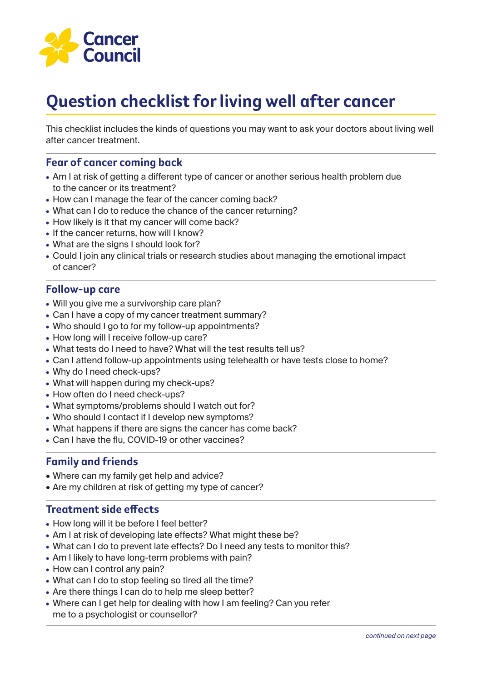

# **Question checklist for living well after cancer**

This checklist includes the kinds of questions you may want to ask your doctors about living well after cancer treatment.

## **Fear of cancer coming back**

- **•** Am I at risk of getting a different type of cancer or another serious health problem due to the cancer or its treatment?
- **•** How can I manage the fear of the cancer coming back?
- **•** What can I do to reduce the chance of the cancer returning?
- **•** How likely is it that my cancer will come back?
- **•** If the cancer returns, how will I know?
- What are the signs I should look for?
- **•** Could I join any clinical trials or research studies about managing the emotional impact of cancer?

### **Follow-up care**

- **•** Will you give me a survivorship care plan?
- **•** Can I have a copy of my cancer treatment summary?
- **•** Who should I go to for my follow-up appointments?
- **•** How long will I receive follow-up care?
- **•** What tests do I need to have? What will the test results tell us?
- **•** Can I attend follow-up appointments using telehealth or have tests close to home?
- **•** Why do I need check-ups?
- **•** What will happen during my check-ups?
- **•** How often do I need check-ups?
- **•** What symptoms/problems should I watch out for?
- **•** Who should I contact if I develop new symptoms?
- **•** What happens if there are signs the cancer has come back?
- **•** Can I have the flu, COVID-19 or other vaccines?

### **Family and friends**

- Where can my family get help and advice?
- Are my children at risk of getting my type of cancer?

#### **Treatment side effects**

- **•** How long will it be before I feel better?
- **•** Am I at risk of developing late effects? What might these be?
- **•** What can I do to prevent late effects? Do I need any tests to monitor this?
- **•** Am I likely to have long-term problems with pain?
- How can I control any pain?
- **•** What can I do to stop feeling so tired all the time?
- **•** Are there things I can do to help me sleep better?
- **•** Where can I get help for dealing with how I am feeling? Can you refer me to a psychologist or counsellor?